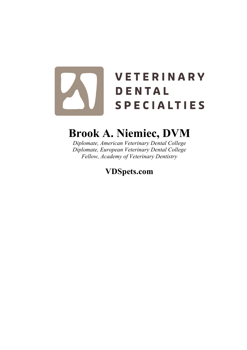# **VETERINARY** DENTAL **SPECIALTIES**

# **Brook A. Niemiec, DVM**

*Diplomate, American Veterinary Dental College Diplomate, European Veterinary Dental College Fellow, Academy of Veterinary Dentistry*

**VDSpets.com**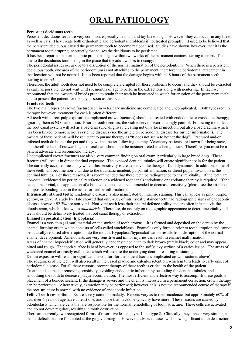# **ORAL PATHOLOGY**

#### **Persistent deciduous teeth**

Persistent deciduous teeth are very common, especially in small and toy breed dogs. However, they can occur in any breed as well as cats. They create both orthodontic and periodontal problems if not treated promptly. It used to be believed that the persistent deciduous caused the permanent tooth to become malocclused. Studies have shown, however, that it is the permanent tooth erupting incorrectly that causes the deciduous to be persistent.

It has been reported that orthodontic problems begin within two weeks of the permanent canines starting to erupt. This is due to the deciduous tooth being in the place that the adult wishes to occupy.

The periodontal issues occur due to a disruption of the normal maturation of the periodontium. When there is a persistent deciduous tooth, one area of the periodontium is not attaching to the permanent, therefore the periodontal attachment in that location will not be normal. It has been reported that the damage begins within 48 hours of the permanent teeth starting to erupt!

Therefore, the adult tooth does not need to be completely erupted for these problems to occur, and they should be extracted as early as possible, do not wait until six months of age to perform the extractions along with neutering. In fact, we recommend that the owners of breeds prone to retain their teeth be instructed to watch for eruption of the permanent teeth and to present the patient for therapy as soon as this occurs.

#### **Fractured teeth**

The two main types of crown fracture seen in veterinary medicine are complicated and uncomplicated. Both types require therapy; however, treatment for each is often different.

All teeth with direct pulp exposure (complicated crown fractures) should be treated with endodontic or exodontic therapy; ignoring them is NOT an option. Prior to tooth necrosis, the viable nerve is excruciatingly painful. Following tooth death, the root canal system will act as a bacterial super-highway creating not only local infection, but also a bacteraemia which has been linked to more serious systemic diseases (see the article on periodontal disease for further information). The owners of these patients will be reluctant to pursue therapy as "It does not seem to bother the dog". Fractured and/or infected teeth do bother the pet and they will act better following therapy. Veterinary patients are known for being stoic, and therefore lack of outward signs of oral pain should not be misinterpreted as a benign state. Therefore, you must be a patient advocate and recommend therapy.

Uncomplicated crown fractures are also a very common finding on oral exam, particularly in large breed dogs. These fractures will result in direct dentinal exposure. The exposed dentinal tubules will create significant pain for the patient. The currently accepted means by which this sensitivity is created is via the theory of fluid dynamics. In addition, some of these teeth will become non-vital due to the traumatic incident, pulpal inflammation, or direct pulpal invasion via the dentinal tubules. For these reasons, it is recommended that these teeth be radiographed to ensure vitality. If the teeth are non-vital (evidenced by periapical rarefaction or a widened root canal) endodontic or exodontic therapy is required. If the teeth appear vital, the application of a bonded composite is recommended to decrease sensitivity (please see the article on composite bonding later in the issue for further information).

**Intrinsically stained teeth:** Endodontic disease is also manifested by intrinsic staining. This can appear as pink, purple, yellow, or grey. A study by Hale showed that only 40% of intrinsically stained teeth had radiographic signs of endodontic disease, however 92.7% are non-vital. Non-vital teeth lose their natural defence ability and are often infected via the bloodstream, which is known as *anachorisis*. Therefore, do not rely on radiographic appearance to determine vitality; all teeth should be definitively treated via root canal therapy or extraction.

#### **Enamel hypocalcification (hypoplasia)**

Enamel is a very thin (<1mm) material on the surface of tooth crowns. It is formed and deposited on the dentin by the enamel forming organ which consists of cells called ameloblasts. Enamel is only formed prior to tooth eruption and cannot be naturally repaired after eruption into the mouth. Hypoplasia/hypocalcification results from disruption of the normal enamel development. Ameloblasts are very sensitive and minor injuries can result in enamel malformation.

Areas of enamel hypocalcification will generally appear stained a tan to dark brown (rarely black) color and may appear pitted and rough. The tooth surface is hard however, as opposed to the soft/sticky surface of a caries lesion. The areas of weakened enamel are easily exfoliated which will expose the underlying dentin, resulting in staining.

Dentin exposure will result in significant discomfort for the patient (see uncomplicated crown fractures above). The roughness of the teeth will also result in increased plaque and calculus retention, which in turn leads to early onset of periodontal disease. For all these reasons, prompt therapy of these teeth is critical to the health of the patient.

Treatment is aimed at removing sensitivity, avoiding endodontic infection by occluding the dentinal tubules, and smoothing the tooth to decrease plaque accumulation. The most efficient and effective way to accomplish these goals is placement of a bonded sealant. If the damage is severe and the client is interested in a permanent correction, crown therapy can be performed. Alternatively, extraction may be performed; however, this is not the recommended course of therapy if the root structure is normal with no evidence of endodontic infection.

**Feline Tooth resorption**: TRs are a very common malady. Reports vary as to their incidence, but approximately 60% of cats over 6 years of age have at least one, and those that have one typically have more. These lesions are caused by odontoclasts which are cells that are responsible for the normal remodelling of tooth structure. These cells are activated and do not down regulate, resulting in tooth destruction.

There are currently two recognized forms of resorptive lesions, type 1 and type 2. Clinically, they appear very similar, as dental defects that are first noted at the gingival margin. However, advanced cases will show significant tooth destruction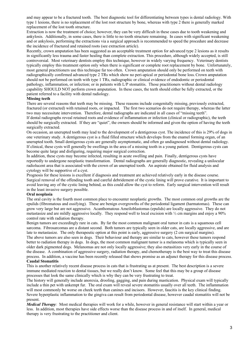and may appear to be a fractured tooth. The best diagnostic tool for differentiating between types is dental radiology. With type 1 lesions, there is no replacement of the lost root structure by bone, whereas with type 2 there is generally marked replacement of the lost tooth structure.

Extraction is now the treatment of choice; however, they can be very difficult in these cases due to tooth weakening and ankylosis. Additionally, in some cases, there is little to no tooth structure remaining. In cases with significant weakening and or ankylosis, performing the extractions via a surgical approach is recommended to speed the procedure and decrease the incidence of fractured and retained roots (see extraction article).

Recently, crown amputation has been suggested as an acceptable treatment option for advanced type 2 lesions as it results in significantly less trauma and faster healing than complete extraction. This procedure, although widely accepted, is still controversial. Most veterinary dentists employ this technique, however in widely varying frequency. Veterinary dentists typically employ this treatment option only when there is significant or complete root replacement by bone. Unfortunately, most general practitioners use this technique far too often. Crown amputation should only be performed on teeth with radiographically confirmed advanced type 2 TRs which show no peri-apical or periodontal bone loss.Crown amputation should not be performed on teeth with type 1 TRs, radiographic or clinical evidence of endodontic or periodontal pathology, inflammation, or infection; or in patients with L/P stomatitis. Those practitioners without dental radiology capability SHOULD NOT perform crown amputation. In these cases, the teeth should either be fully extracted, or the patient referred to a facility with dental radiology.

#### **Missing teeth**

There are several reasons that teeth may be missing. These reasons include congenitally missing, previously extracted, fractured (or extracted) with retained roots, or impacted. The first two scenarios do not require therapy, whereas the latter two may necessitate intervention. Therefore, dental radiographs are indicated in all cases of "missing teeth".

If dental radiographs reveal retained roots and evidence of inflammation or infection (clinical or radiographic), the teeth should be surgically extracted. If they are "quiet", the owners should be informed and given the option of having the teeth surgically extracted.

On occasion, an unerupted tooth may lead to the development of a dentigerous cyst. The incidence of this is 29% of dogs in one veterinary study. A dentigerous cyst is a fluid filled structure which develops from the enamel forming organ, of an unerupted tooth. Small dentigerous cysts are generally asymptomatic, and often go undiagnosed without dental radiology. If clinical, these cysts will generally be swellings in the area of a missing tooth in a young patient. Dentigerous cysts can become quite large and disfiguring, requiring major surgical correction.

In addition, these cysts may become infected, resulting in acute swelling and pain. Finally, dentigerous cysts have reportedly to undergone neoplastic transformation. Dental radiographs are generally diagnostic, revealing a unilocular radiolucent area that is associated with the crown of an unerupted tooth. An aspirate obtained for fluid analysis and cytology will be supportive of a cyst.

Prognosis for these lesions is excellent if diagnosis and treatment are achieved relatively early in the disease course. Surgical removal of the offending tooth and careful debridement of the cystic lining will prove curative. It is important to avoid leaving any of the cystic lining behind, as this could allow the cyst to reform. Early surgical intervention will result in the least invasive surgery possible.

#### **Oral neoplasia**

The oral cavity is the fourth most common place to encounter neoplastic growths. The most common oral growths are the epulids (fibromatous and ossifying). These are benign overgrowths of the periodontal ligament (harmatomas). These can grow very large but are not aggressive. Acanthomatous Ameiloblastomas (epulids) are locally aggressive. They do not metastasize and are mildly aggressive locally. They respond well to local excision with ½ cm margins and enjoy a 90% control rate with radiation therapy.

Benign tumors are exceedingly rare in cats. By far the most common malignant oral tumor in cats is a squamous cell sarcoma. Fibrosarcomas are a distant second. Both tumors are typically seen in older cats, are locally aggressive, and are late to metastasize. The only therapeutic option at this point is early, aggressive surgery (2 cm surgical margins). The above tumors are also seen in dogs. Their behaviour and therapy are similar to cats, however these tumors respond better to radiation therapy in dogs. In dogs, the most common malignant tumor is a melanoma which is typically seen in older dark pigmented dogs. Melanomas are not only locally aggressive; they also metasitizes very early in the course of the disease. A combination of aggressive surgery, radiation therapy, and chemotherapy is the best way to treat this disease process. In addition, a vaccine has been recently released that shows promise as an adjunct therapy for this disease process.

#### **Caudal Stomatitis**

This is another relatively recent disease process in cats that is frustrating us at present. The best description is a severe immune mediated reaction to dental tissues, but we really don't know. Some feel that this may be a group of disease processes that look the same clinically which is why they can be very frustrating to treat.

The history will generally include anorexia, drooling, gagging, and pain during mastication. Physical exam will typically include a thin pet with unkempt fur. The oral exam will reveal severe stomatitis usually over all teeth. The inflammation will most commonly be worse on cheek teeth than canines and incisors. However, faucitis is the key clinical finding. Severe hyperplastic inflammation to the gingiva can result from periodontal disease, however caudal stomatitis will not be present.

*Medical Therapy:* Most medical therapies will work for a while, however in general resistance will start within a year or less. In addition, most therapies have side effects worse than the disease process in and of itself. In general, medical therapy is very frustrating to the practitioner and client.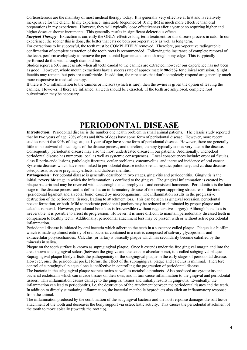Corticosteroids are the mainstay of most medical therapy today. It is generally very effective at first and is relatively inexpensive for the client. In my experience, injectable (depomedrol 10 mg IM) is much more effective than oral preparations in my experience. However, they will typically loose effectiveness after a year or so requiring higher and higher doses at shorter increments. This generally results in significant deleterious effects.

*Surgical Therapy:* Extraction is currently the ONLY effective long-term treatment for this disease process in cats. In our experience, the sooner this is done, the better that cats do both post-operatively as well as long term.

For extractions to be successful, the teeth must be COMPLETELY removed. Therefore, post-operative radiographic confirmation of complete extraction of the tooth roots is recommended. Following the insurance of complete removal of the teeth, perform aveloplasty to remove the periodontal ligament and smooth rough bony edges. This is typically performed do this with a rough diamond bur.

Studies report a 60% success rate when all teeth caudal to the canines are extracted, however our experience has not been as good. However, whole mouth extractions have a success rate of approximately **90-95%** for clinical remission. Slight faucitis may remain, but pets are comfortable. In addition, the rare cases that don't completely respond are generally much more responsive to medical therapy.

If there is NO inflammation to the canines or incisors (which is rare), then the owner is given the option of leaving the canines. However, if these are inflamed, all teeth should be extracted. If the teeth are ankylosed, complete root pulverization may be necessary.

## **PERIODONTAL DISEASE**

**Introduction:** Periodontal disease is the number one health problem in small animal patients. The classic study reported that by two years of age, 70% of cats and 80% of dogs have some form of periodontal disease. However, more recent studies report that 90% of dogs at just 1 year of age have some form of periodontal disease. However, there are generally little to no outward clinical signs of the disease process, and therefore, therapy typically comes very late in the disease. Consequently, periodontal disease may also the most undertreated disease in our patients. Additionally, unchecked periodontal disease has numerous local as well as systemic consequences. Local consequences include: oronasal fistulas, class II perio-endo lesions, pathologic fractures, ocular problems, osteomyelitis, and increased incidence of oral cancer. Systemic diseases which have been linked to periodontal disease include renal, hepatic, pulmonary, and cardiac diseases; osteoporosis, adverse pregnancy effects, and diabetes mellitus.

**Pathogenesis:** Periodontal disease is generally described in two stages, gingivitis and periodontitis. Gingivitis is the initial, **reversible** stage in which the inflammation is confined to the gingiva. The gingival inflammation is created by plaque bacteria and may be reversed with a thorough dental prophylaxis and consistent homecare. Periodontitis is the later stage of the disease process and is defined as an inflammatory disease of the deeper supporting structures of the tooth (periodontal ligament and alveolar bone) caused by microorganisms. The inflammation results in the progressive destruction of the periodontal tissues, leading to attachment loss. This can be seen as gingival recession, periodontal pocket formation, or both. Mild to moderate periodontal pockets may be reduced or eliminated by proper plaque and calculus removal. However, periodontal bone loss is **irreversible** (without regenerative surgery). Although bone loss is irreversible, it is possible to arrest its progression. However, it is more difficult to maintain periodontally diseased teeth in comparison to healthy teeth. Additionally, periodontal attachment loss may be present with or without active periodontal inflammation.

Periodontal disease is initiated by oral bacteria which adhere to the teeth in a substance called plaque. Plaque is a biofilm, which is made up almost entirely of oral bacteria, contained in a matrix composed of salivary glycoproteins and extracellular polysaccharides. Calculus (or tartar) is basically plaque which has secondarily become calcified by the minerals in saliva.

Plaque on the tooth surface is known as supragingival plaque. Once it extends under the free gingival margin and into the area known as the gingival sulcus (between the gingiva and the teeth or alveolar bone), it is called subgingival plaque. Supragingival plaque likely affects the pathogenicity of the subgingival plaque in the early stages of periodontal disease. However, once the periodontal pocket forms, the effect of the supragingival plaque and calculus is minimal. Therefore, control of supragingival plaque alone is ineffective in controlling the progression of periodontal disease.

The bacteria in the subgingival plaque secrete toxins as well as metabolic products. Also produced are cytotoxins and bacterial endotoxins which can invade tissues on their own, and in turn cause inflammation to the gingival and periodontal tissues. This inflammation causes damage to the gingival tissues and initially results in gingivitis. Eventually, the inflammation can lead to periodontitis, i.e. the destruction of the attachment between the periodontal tissues and the teeth. In addition to directly stimulating inflammation, the bacterial metabolic byproducts also elicit an inflammatory response from the animal.

The inflammation produced by the combination of the subgingival bacteria and the host response damages the soft tissue attachment of the tooth and decreases the bony support via osteoclastic activity. This causes the periodontal attachment of the tooth to move apically (towards the root tip).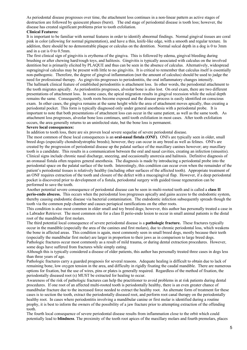As periodontal disease progresses over time, the attachment loss continues in a non-linear pattern as active stages of destruction are followed by quiescent phases (burst). The end stage of periodontal disease is tooth loss; however, the disease has created significant problems prior to tooth exfoliation.

#### **Clinical Features:**

It is important to be familiar with normal features in order to identify abnormal findings. Normal gingival tissues are coral pink in color (allowing for normal pigmentation), and have a thin, knife-like edge, with a smooth and regular texture. In addition, there should be no demonstrable plaque or calculus on the dentition. Normal sulcal depth in a dog is 0 to 3mm and in a cat is 0 to 0.5mm.

The first clinical sign of gingivitis is erythema of the gingiva. This is followed by edema, gingival bleeding during brushing or after chewing hard/rough toys, and halitosis. Gingivitis is typically associated with calculus on the involved dentition but is primarily elicited by PLAQUE and thus can be seen in the absence of calculus. Alternatively, widespread supragingival calculus may be present with little to no gingivitis. It is critical to remember that calculus itself is essentially non-pathogenic. Therefore, the degree of gingival inflammation (not the amount of calculus) should be used to judge the need for professional therapy. As gingivitis progresses to periodontitis, the oral inflammatory changes intensify. The hallmark clinical feature of established periodontitis is attachment loss. In other words, the periodontal attachment to the tooth migrates apically. As periodontitis progresses, alveolar bone is also lost. On oral exam, there are two different presentations of attachment loss. In some cases, the apical migration results in gingival recession while the sulcal depth remains the same. Consequently, tooth roots become exposed and the disease process is easily identified on conscious exam. In other cases, the gingiva remains at the same height while the area of attachment moves apically, thus creating a periodontal pocket. This form is typically diagnosed only under general anesthesia with a periodontal probe. It is important to note that both presentations of attachment loss can occur in the same patient, as well as the same tooth. As attachment loss progresses, alveolar bone loss continues, until tooth exfoliation in most cases. After tooth exfoliation occurs, the area generally returns to an uninfected state, but the bone loss is permanent.

#### **Severe local consequences:**

In addition to tooth loss, there are six proven local severe sequelae of severe periodontal disease.

The most common of these local consequences is an **oral-nasal fistula (ONF)**. ONFs are typically seen in older, small breed dogs (especially chondrodystrophic breeds); however, they can occur in any breed as well as felines. ONFs are created by the progression of periodontal disease up the palatal surface of the maxillary canines however; any maxillary tooth is a candidate. This results in a communication between the oral and nasal cavities, creating an infection (sinusitis). Clinical signs include chronic nasal discharge, sneezing, and occasionally anorexia and halitosis. Definitive diagnosis of an oronasal fistula often requires general anesthesia. The diagnosis is made by introducing a periodontal probe into the periodontal space on the palatal surface of the tooth. Interestingly, this condition can occur even when the remainder of the patient's periodontal tissues is relatively healthy (including other surfaces of the affected tooth). Appropriate treatment of an ONF requires extraction of the tooth and closure of the defect with a mucogingival flap. However, if a deep periodontal pocket is discovered prior to development of a fistula, periodontal surgery with guided tissue regeneration can be performed to save the tooth.

Another potential severe consequence of periodontal disease can be seen in multi-rooted teeth and is called a **class II perio-endo abscess.** This occurs when the periodontal loss progresses apically and gains access to the endodontic system, thereby causing endodontic disease via bacterial contamination. The endodontic infection subsequently spreads though the tooth via the common pulp chamber and causes periapical ramifications on the other roots.

This condition is also most common in older small and toy breed dogs; however, this author has personally treated a case in a Labrador Retriever. The most common site for a class II perio-endo lesion to occur in small animal patients is the distal root of the mandibular first molars.

The third potential local consequence of severe periodontal disease is a **pathologic fracture.** These fractures typically occur in the mandible (especially the area of the canines and first molars), due to chronic periodontal loss, which weakens the bone in affected areas. This condition is again, most commonly seen in small breed dogs, mostly because their teeth (especially the mandibular first molar) are larger in proportion to their jaws as in comparison to large breed dogs. Pathologic fractures occur most commonly as a result of mild trauma, or during dental extraction procedures. However, some dogs have suffered from fractures while simply eating.

Although this is typically considered a disease of older patients, this author has personally treated three cases in dogs less than three years of age.

Pathologic fractures carry a guarded prognosis for several reasons. Adequate healing is difficult to obtain due to lack of remaining bone, low oxygen tension in the area, and difficulty in rigidly fixating the caudal mandible. There are numerous options for fixation, but the use of wires, pins or plates is generally required. Regardless of the method of fixation, the periodontally diseased root (s) MUST be extracted for healing to occur.

Awareness of the risk of pathologic fractures can help the practitioner to avoid problems in at risk patients during dental procedures. If one root of an affected multi-rooted tooth is periodontally healthy, there is an even greater chance of mandibular fracture due to the increased force needed to extract the healthy root. An alternate form of treatment for these cases is to section the tooth, extract the periodontally diseased root, and perform root canal therapy on the periodontally healthy root. In cases where periodontitis involving a mandibular canine or first molar is identified during a routine prophy, it is best to inform the owners of the possibility of a jaw fracture prior to attempting extraction of the offending tooth.

The fourth local consequence of severe periodontal disease results from inflammation close to the orbit which could potentially lead to **blindness**. The proximity of the tooth root apices of the maxillary molars and fourth premolars, places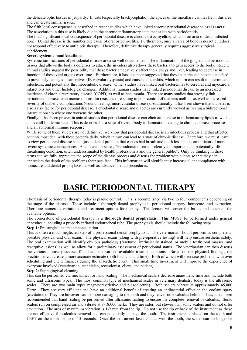the delicate optic tissues in jeopardy. In cats (especially brachycephalic), the apices of the maxillary canines lie in this area and can create similar issues.

The fifth local consequence is described in recent studies which have linked chronic periodontal disease to **oral cancer**.

The association in this case is likely due to the chronic inflammatory state that exists with periodontitis. The final significant local consequence of periodontal disease is chronic **osteomyelitis**, which is an area of dead, infected

bone. Dental disease is the number one cause of oral osteomyelitis. Furthermore, once an area of bone is necrotic, it does not respond effectively to antibiotic therapy. Therefore, definitive therapy generally requires aggressive surgical debridement.

#### **Severe systemic manifestations:**

Systemic ramifications of periodontal disease are also well documented. The inflammation of the gingiva and periodontal tissues that allows the body's defenses to attack the invaders also allows these bacteria to gain access to the body. Recent animal studies suggest the possibility that these bacteria negatively affect the kidneys and liver, leading to decrease in function of these vital organs over time. Furthermore, it has also been suggested that these bacteria can become attached to previously damaged heart valves (IE valvular dysplasia) and cause endocarditis, which in turn can result in intermittent infections, and potentially thromboembolic disease. Other studies have linked oral bacteremias to cerebral and myocardial infarctions and other histological changes. Additional human studies have linked periodontal disease to an increased incidence of chronic respiratory disease (COPD) as well as pneumonia. There are many studies that strongly link periodontal disease to an increase in insulin resistance, resulting in poor control of diabetes mellitus as well as increased severity of diabetic complications (wound healing, microvascular disease). Additionally, it has been shown that diabetes is also a risk factor for periodontal disease. Periodontal disease and diabetes are currently viewed as having a bidirectional interrelationship where one worsens the other.

Finally, it has been proven in animal studies that periodontal disease can elicit an increase in inflammatory lipids as well as an overall lipidemic state. This is described as a state of overall body inflammation leading to chronic disease processes and an abnormal immune response.

While some of these studies are not definitive, we know that periodontal disease is an infectious process and that affected patients must deal with these bacteria daily, which in turn can lead to a state of chronic disease. Therefore, we must learn to view periodontal disease as not just a dental problem that causes bad breath and tooth loss, but as an initiator of more severe systemic consequences. As one author states, "Periodontal disease is clearly an important and potentially lifethreatening condition, often underestimated by health professionals and the general public". Only by thinking in these terms can we fully appreciate the scope of the disease process and discuss the problem with clients so that they can appreciate the depth of the problems their pets face. This information will significantly increase client compliance with homecare and dental prophylaxis, as well as advanced dental procedures.

### **BASIC PERIODONTAL THERAPY**

The basis of periodontal therapy today is plaque control. This is accomplished via two to four components depending on the stage of the disease. These include a thorough dental prophylaxis, periodontal surgery, homecare, and extraction. There are numerous variations and treatment options for therapy. This lecture will cover the basics and touch on the available options.

The cornerstone of periodontal therapy is a **thorough dental prophylaxis**. This MUST be performed under general anaesthesia including a properly inflated endotracheal tube. The prophylaxis should include the following steps. **Step 1:** Pre surgical exam and consultation

This is often a much-neglected step of a professional dental prophylaxis. The veterinarian should perform as complete as possible physical and oral exam. The physical exam (along with pre-operative testing) will help ensure aesthetic safety. The oral examination will identify obvious pathology (fractured, intrinsically stained, or mobile teeth; oral masses; and resorptive lesions) as well as allow for a preliminary assessment of periodontal status. The veterinarian can then discuss the various disease processes found and the various available treatment options. Based on the physical findings, the practitioner can create a more accurate estimate (both financial and time). Both of which will decrease problems with over scheduling and client finances during the anaesthetic event. This small time investment will improve the experience of everyone involved (veterinarian, technician, receptionist, client, and patient).

#### **Step 2:** Supragingival cleaning

This can be performed via mechanical or hand scaling. The mechanical scalars decrease anaesthetic time and include both sonic and ultrasonic types. The most common type of mechanical scaler in veterinary dentistry today is the ultrasonic scaler. There are two main types magnetorestrictive and piezoelectric). Both scalers vibrate at approximately 45,000 Hertz. They are very efficient and have an additional benefit of creating an antibacterial effect in the coolant spray (cavitation). They are however can be more damaging to the tooth and may leave some calculus behind. Thus, it has been recommended that hand scaling be performed after ultrasonic scaling to ensure the complete removal of calculus. Sonic scalers run on compressed air and vibrate at 8-18,000 hertz. They are safer, but slower than sonic scalers and do not offer cavitation. The area of maximum vibration is 1-2 mm from the tip. Do not use the tip or back of the instrument as these are not effective for calculus removal and can potentially damage the tooth. The instrument is placed on the tooth and LEFT on the tooth for up to 15 seconds. Once the instrument loses contact with the tooth, the scaler can no longer be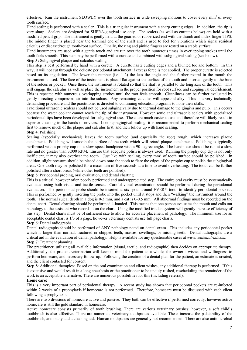effective. Run the instrument SLOWLY over the tooth surface in wide sweeping motions to cover every mm<sup>2</sup> of every tooth surface.

Hand scaling is performed with a scaler. This is a triangular instrument with e sharp cutting edges. In addition, the tip is very sharp. Scalers are designed for SUPRA-gingival use only. The scalers (as well as curettes below) are held with a modified pencil grip. The instrument is gently held at the gnarled or rubberized end with the thumb and index finger TIPS. The middle finger is placed near the terminal end of the shaft and is used to feel for vibrations which signal residual calculus or diseased/rough tooth/root surface. Finally, the ring and pinkie fingers are rested on a stable surface.

Hand instruments are used with a gentle touch and are run over the tooth numerous times in overlapping strokes until the tooth feels smooth. This step may be performed with a curette and combined with subgingival scaling (see below). **Step 3:** Subgingival plaque and calculus scaling

This step is best performed by hand with a curette. A curette has 2 cutting edges and a blunted toe and bottom. In this way, it will not cut through the delicate periodontal attachment if excess force is not applied. The proper curette is selected based on its angulation. The lower the number (i.e. 1-2) the less the angle and the further rostral in the mouth the instrument is used. The face of the instrument is placed flat against the surface of the tooth and inserted gently to the base of the sulcus or pocket. Once there, the instrument is rotated so that the shaft is parallel to the long axis of the tooth. This will engage the calculus as well as place the instrument in the proper position for root surface and subgingival debridement. This is repeated with numerous overlapping strokes until the root feels smooth. Cleanliness can be further evaluated by gently directing compressed air into the sulcus. Any remaining calculus will appear chalky. This is a very technically demanding procedure and the practitioner is directed to continuing education programs to hone their skills.

Traditional ultrasonic scalers should not be used subgingivally due to thermal damage to the gingiva and pulp. This occurs because the water coolant cannot reach the tip of the instrument. However sonic and ultrasonic scalers with specialized periodontal tips have been developed for subgingival use. These are much easier to use and therefore will likely result in superior cleaning in the hands of novices. Like supragingival scaling, it is recommended to perform mechanical scaling first to remove much of the plaque and calculus first, and then follow up with hand scaling.

#### **Step 4**: Polishing

Scaling (especially mechanical) leaves the tooth surface (and especially the root) rough, which increases plaque attachment. Polishing will smooth the surface of the teeth which will retard plaque attachment. Polishing is typically performed with a prophy cup on a slow-speed handpiece with a 90-degree angle. The handpiece should be run at a slow rate and no greater than 3,000 RPM. Ensure that adequate polish is always used. Running the prophy cup dry is not only inefficient, it may also overheat the tooth. Just like with scaling, every mm<sup>2</sup> of tooth surface should be polished. In addition, slight pressure should be placed down onto the tooth to flare the edges of the prophy cup to polish the subgingival areas. One tooth may be polished for a maximum of five seconds at a time to avoid overheating. The tooth can be further polished after a short break (while other teeth are polished).

**Step 5**: Periodontal probing, oral evaluation, and dental charting

This is a critical, however often poorly performed and underappreciated step. The entire oral cavity must be systematically evaluated using both visual and tactile senses. Careful visual examination should be performed during the periodontal evaluation. The periodontal probe should be inserted at six spots around EVERY tooth to identify periodontal pockets. This is performed by gently inserting the probe into the pocket until it stops and then "walking" the instrument around the tooth. The normal sulcal depth in a dog is 0-3 mm, and a cat is 0-0.5 mm. All abnormal findings must be recorded on the dental chart. Dental charting should be performed 4-handed. This means that one person evaluates the mouth and calls out pathology to the assistant who records it on the chart. Using the modified triadan system will greatly increase efficiency of this step. Dental charts must be of sufficient size to allow for accurate placement of pathology. The minimum size for an acceptable dental chart is 1/3 of a page, however veterinary dentists use full page charts.

#### **Step 6**: Dental radiographs:

Dental radiographs should be performed of ANY pathology noted on dental exam. This includes any periodontal pocket which is larger than normal, fractured or chipped teeth, masses, swellings, or missing teeth. Dental radiographs are a critical aid in the evaluation of dental pathology. Help is available for any questionable cases at *www.vetdentalrad.com.*  **Step 7**: Treatment planning

The practitioner, utilizing all available information (visual, tactile, and radiographic) then decides on appropriate therapy. Additionally, the prudent veterinarian will keep in mind the patient as a whole, the owner's wishes and willingness to perform homecare, and necessary follow-up. Following the creation of a dental plan for the patient, an estimate is created, and the client contacted for consent.

**Step 8**: Additional therapies: Based on the oral examination and client wishes, any additional therapy is performed. If this is extensive and would result in a long anesthesia or the practitioner to be unduly rushed, rescheduling the remainder of the work **is** an acceptable alternative. There are numerous possibilities for this (including referral).

#### **Home care:**

This is a very important part of periodontal therapy. A recent study has shown that periodontal pockets are re-infected within 2 weeks of a prophylaxis if homecare is not performed. Therefore, homecare must be discussed with each client following a prophylaxis.

There are two divisions of homecare active and passive. They both can be effective if performed correctly, however active homecare is still the gold standard in homecare.

Active homecare consists primarily of tooth brushing. There are various veterinary brushes; however, a soft child's toothbrush is also effective. There are numerous veterinary toothpastes available. These increase the palatability of the toothbrush, and many add a cleaning aid. Human toothpastes are generally not recommended. There are also antimicrobial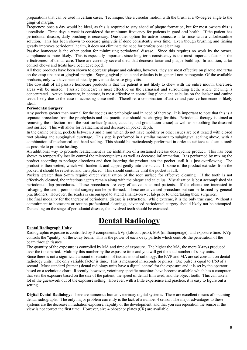preparations that can be used in certain cases. Technique: Use a circular motion with the brush at a 45-degree angle to the gingival margin.

Frequency: once a day would be ideal, as this is required to stay ahead of plaque formation, but for most owners this is unrealistic. Three days a week is considered the minimum frequency for patients in good oral health. If the patient has periodontal disease, daily brushing is necessary. One other option for active homecare is to rinse with a chlorhexadine solution. This has been shown to decrease gingivitis if done consistently over time. Even though brushing and rinsing greatly improves periodontal health, it does not eliminate the need for professional cleanings.

Passive homecare is the other option for minimizing periodontal disease. Since this requires no work by the owner, compliance is more likely. This is especially important since long term consistency is the most important factor in the effectiveness of dental care. There are currently several diets that decrease tartar and plaque build-up. In addition, tartar control chews and treats have been developed.

All these products have been shown to decrease plaque and calculus, however, they are most effective on plaque and tartar on the cusp tips not at gingival margin. Supragingival plaque and calculus is in general non-pathogenic. Of the available products, only two have been clinically proven to decrease gingivitis.

The downfall of all passive homecare products is that the patient is not likely to chew with the entire mouth; therefore, areas will be missed. Passive homecare is most effective on the carnassial and surrounding teeth, where chewing is concentrated. Active homecare, in contrast, is most effective in controlling plaque and calculus on the incisor and canine teeth, likely due to the ease in accessing these teeth. Therefore, a combination of active and passive homecare is likely ideal.

#### **Periodontal Surgery**

Any pockets greater than normal for the species are pathologic and in need of therapy. It is important to note that this is a separate procedure from the prophylaxis and the practitioner should be charging for this. Periodontal therapy is aimed at removing the infection from the root surface (plaque, calculus, and granulation tissue) as well as smoothing the diseased root surface. This will allow for reattachment and decrease in pocket depth.

In the canine patient, pockets between 3 and 5 mm which do not have mobility or other issues are best treated with closed root planing and subgingival curettage. This step is performed in a similar manner to subgingival scaling above, with a combination of mechanical and hand scaling. This should be meticulously performed in order to achieve as clean a tooth as possible to promote healing.

An additional way to promote reattachment is the instillation of a sustained release doxycycline product. This has been shown to temporarily locally control the microorganisms as well as decrease inflammation. It is performed by mixing the product according to package directions and then inserting the product into the pocket until it is just overflowing. The product is then wetted, which will harden it, and tapped gently into the sulcus. If some of the product extrudes from the pocket, it should be rewetted and then placed. This should continue until the pocket is full.

Pockets greater than 5-mm require direct visualization of the root surface for effective cleaning. If the tooth is not effectively cleaned, the infectious agents remain along with the plaque and calculus. Visualization is best accomplished via periodontal flap procedures. These procedures are very effective in animal patients. If the clients are interested in salvaging the teeth, periodontal surgery can be performed. These are advanced procedure but can be learned by general practitioners. However, the reader is encouraged to attend a hands-on wet lab prior to undertaking these surgeries.

The final modality for the therapy of periodontal disease is **extraction**. While extreme, it is the only true cure. Without a commitment to homecare or routine professional cleanings, advanced periodontal surgery should likely not be attempted. Depending on the stage of periodontal disease, the involved teeth should be extracted.

### **Dental Radiology**

#### **Dental Radiograph Units**:

Radiographic exposure is controlled by 3 components: kVp (kilovolt peak), MA (milliamperage), and exposure time. KVp controls the "quality" of the x-ray beam. This is the power of each x-ray particle which controls the penetration of the beam through tissues.

The quantity of the exposure is controlled by MA and time of exposure. The higher the MA, the more X-rays produced over the time period. Multiply this number by the exposure time and you will get the total number of x-ray units. Since there is not a significant amount of variation of tissues in oral radiology, the KVP and MA are set constant on dental radiology units. The only variable factor is time. This is measured in seconds or pulses. One pulse is equal to 1/60 of a second. Most standard (human) dental radiology units have a digital control for the exposure and it is set by the operator based on a technique chart. Recently, however, veterinary specific machines have become available which has a computer that sets the exposure based on the size of the patient, the speed of dental film used, and the object tooth. This can take a lot of the guesswork out of the exposure setting. However, with a little experience and practice, it is easy to figure out a setting.

**Digital Dental Radiology:** There are numerous human veterinary digital systems. These are excellent means of obtaining dental radiographs. The only major problem currently is the lack of a number 4 sensor. The major advantages to these systems are the decrease in radiation exposure, rapidity of the development, and that you can reposition the sensor if the view is not correct the first time. However, size 4 phosphor plates (CR) are available.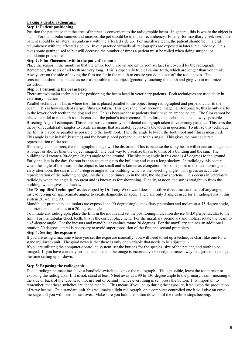#### **Taking a dental radiograph**:

#### **Step 1: Patient positioning**

Position the patient so that the area of interest is convenient to the radiographic beam. In general, this is where the object is "up". For mandibular canines and incisors, the pet should be in dorsal recumbency. Finally, for maxillary cheek teeth, the patient should be in lateral recumbency with the affected side up. For maxillary teeth, the patient should be in lateral recumbency with the affected side up. In our practice virtually all radiographs are exposed in lateral recumbency. This takes some getting used to but will decrease the number of times a patient must be rolled when doing surgical or endodontic procedures.

#### **Step 2: Film Placement within the patient's mouth**

Place the sensor in the mouth so that the entire tooth (crown and entire root surface) is covered by the radiograph. Remember, the roots of all teeth are very long. This is especially true of canine teeth, which are longer than you think. Always err on the side of having the film too far in the mouth to ensure you do not cut off the root apexes. The sensor/plate should be placed as near as possible to the object (generally touching the tooth and gingiva) to minimize distortion.

#### **Step 3: Positioning the beam head**

There are two major techniques for positioning the beam head in veterinary patients. Both techniques are used daily in veterinary practice.

Parallel technique: This is where the film is placed parallel to the object being radiographed and perpendicular to the beam. This is how standard (large) films are taken. This gives the most accurate image. Unfortunately, this is only useful in the lower cheek teeth in the dog and cat. This is because these patients don't have an arched palate. The film cannot be placed parallel to the tooth roots because of the palate's interference. Therefore, this technique is not always possible. Bisecting Angle Technique: This is the most common type of dental radiograph taken in veterinary patients. This uses the theory of equilateral triangles to create an image that accurately represents the tooth in question. To utilize this technique, the film is placed as parallel as possible to the tooth root. Then the angle between the tooth root and film is measured. This angle is cut in half (bisected) and the beam placed perpendicular to this angle. This gives the most accurate representation of the root.

If this angle is incorrect, the radiographic image will be distorted. This is because the x-ray beam will create an image that is longer or shorter than the object imaged. The best way to visualize this is to think of a building and the sun. The building will create a 90-degree (right) angle to the ground. The bisecting angle in this case is 45 degrees to the ground. Early and late in the day, the sun is at an acute angle to the building and casts a long shadow. In radiology this occurs when the angle of the beam to the object is too small and is known as elongation. At some point in the late morning and early afternoon, the sun is at a 45-degree angle to the building, which is the bisecting angle. This gives an accurate representation of the building height. As the sun continues up in the sky, the shadow shortens. This occurs in veterinary radiology when the angle is too great and is known as foreshortening. Finally, at noon, the sun is straight up from the building, which gives no shadow.

The **"Simplified Technique"** as developed by Dr. Tony Woodward does not utilize direct measurement of any angle, instead relying on approximate angles to create diagnostic images. There are only 3 angles used for all radiographs in this system 20, 45, and 90.

Mandibular premolars and molars are exposed at a 90-degree angle, maxillary premolars and molars at a 45-degree angle, and incisors and canines at a 20-degree angle.

To initiate any radiograph, place the film in the mouth and set the positioning indication device (PID) perpendicular to the film. For mandibular cheek teeth, this is the correct placement. For the maxillary premolars and molars, rotate the beam to a 45-degree angle. For the incisors and mandibular canines rotate 20 degrees. For the maxillary canines an additional rotation 20 degrees lateral is necessary to avoid superimposition of the first and second premolars.

#### **Step 4: Setting the exposure**

If you are using a machine where you set the exposure manually, you will need to set up a technique chart like one for a standard (large) unit. The good news is that there is only one variable that needs to be adjusted. \

If you are utilizing the computer-controlled system, set the buttons for the species, size of the patient, and tooth to be imaged. If you have correctly set the machine and the image is incorrectly exposed, the easiest way to adjust is to change the time setting up or down.

#### **Step 5: Exposing the radiograph**

Dental radiograph machines have a handheld switch to expose the radiograph. If it is possible, leave the room prior to exposing the radiograph. If it is not, stand at least 6 feet away at a 90 to 130-degree angle to the primary beam (meaning to the side or back of the tube head, not in front or behind). Once everything is set, press the button. It is important to remember, that these switches are "dead man's". This means if you let up during the exposure, it will stop the production of x-ray beams. On a standard unit, this will make a light radiograph, on a computer controlled one it will give an error message and you will need to start over. Make sure you hold the button down until the machine stops beeping.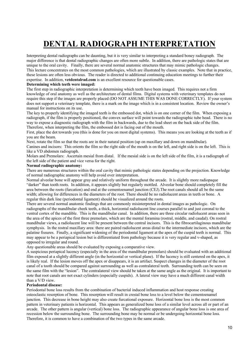# **DENTAL RADIOGRAPH INTERPRETATION**

Interpreting dental radiographs can be daunting, but it is very similar to interpreting a standard boney radiograph. The major difference is that dental radiographic changes are often more subtle. In addition, there are pathologic states that are unique to the oral cavity. Finally, there are several normal anatomic structures that may mimic pathologic changes. This lecture concentrates on the most common pathologies, which are illustrated by classic examples. Note that in practice, these lesions are often less obvious. The reader is directed to additional continuing education meetings to further their expertise. In addition, **vetdentalrad.com** is an excellent resource for questionable cases.

#### **Determining which teeth were imaged:**

The first step in radiographic interpretation is determining which teeth have been imaged. This requires not a firm knowledge of oral anatomy as well as the architecture of dental films. Digital systems with veterinary templates do not require this step if the images are properly placed (DO NOT ASSUME THIS WAS DONE CORRECTLY). If your system does not support a veterinary template, there is a mark on the image which is in a consistent location. Review the owner's manual for instructions on its use.

The key to properly identifying the imaged teeth is the embossed dot, which is on one corner of the film. When exposing a radiograph, if the film is properly positioned, the convex surface will point towards the radiographic tube head. There is no way to expose a diagnostic radiograph with the film in backwards, due to the lead sheet on the back side of the film. Therefore, when interpreting the film, the embossed dot is facing out of the mouth.

First, place the dot towards you (this is done for you on most digital systems). This means you are looking at the teeth as if you are the beam.

Next, rotate the film so that the roots are in their natural position (up on maxillary and down on mandibular).

Canines and incisors: This orients the film so the right side of the mouth is on the left, and right side is on the left. This is like a VD abdomen radiograph.

Molars and Premolars: Ascertain mesial from distal. If the mesial side is on the left side of the film, it is a radiograph of the left side of the patient and vice versa for the right.

#### **Normal radiographic anatomy:**

There are numerous structures within the oral cavity that mimic pathologic states depending on the projection. Knowledge of normal radiographic anatomy will help avoid over interpretation.

Normal alveolar bone will appear gray and relatively uniform throughout the arcade. It is slightly more radiopaque "darker" than tooth roots. In addition, it appears slightly but regularly mottled. Alveolar bone should completely fill the area between the roots (furcation) and end at the cementoenamel junction (CEJ).The root canals should all be the same width; allowing for differences in the diameters of the root. There should be no radiolucent areas in teeth or bone. A regular thin dark line (periodontal ligament) should be visualized around the roots.

There are several normal anatomic findings that are commonly misinterpreted in dental images as pathologic. On radiographs of the mandibular cheek teeth, a thick, horizontal radiolucent line courses parallel to and just coronal to the ventral cortex of the mandible. This is the mandibular canal. In addition, there are three circular radiolucent areas seen in the area of the apices of the first three premolars, which are the mental foramina (rostral, middle, and caudal). On rostral mandibular views, a radiolucent line will be present between the central incisors. This is the fibrocartilaginous mandibular symphysis. In the rostral maxillary area: there are paired radiolucent areas distal to the intermediate incisors, which are the palatine fissures. Finally, a significant widening of the periodontal ligament at the apex of the cuspid teeth is normal. This may appear to be a periapical lesion but is differentiated from pathology because it is very regular and v-shaped, as opposed to irregular and round.

Any questionable areas should be evaluated by exposing a comparative view.

A suspicious periapical lucency (especially in the area of the mandibular premolars) should be evaluated with an additional film exposed at a slightly different angle (in the horizontal or vertical plane). If the lucency is still centered on the apex, it is likely real. If the lesion moves off the apex or disappears, it is an artifact. Suspect changes in the diameter of the root canal of a tooth should be compared against surrounding as well as contralateral teeth. Surrounding teeth can be seen on the same film with the "lesion". The contralateral view should be taken at the same angle as the original. It is important to note that root canals are not exact cylinders (especially cuspids). A lateral view may have a much different canal width than a V/D view.

#### **Periodontal disease:**

Periodontal bone loss results from the combination of bacterial induced inflammation and host response creating osteoclastic resorption of bone. This resorption will result in crestal bone loss to a level below the cementoenamel junction. This decrease in bone height may also create furcational exposure. Horizontal bone loss is the most common pattern in veterinary patients is horizontal. This appears as generalized bone loss of a similar level across all or part of an arcade. The other pattern is angular (vertical) bone loss. The radiographic appearance of angular bone loss is one area of recession below the surrounding bone. The surrounding bone may be normal or be undergoing horizontal bone loss. Therefore, it is common to have a combination of the two types in the same arcade.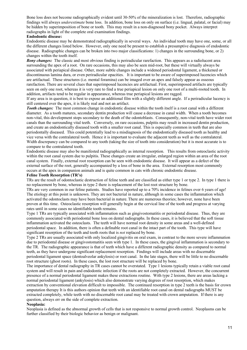Bone loss does not become radiographically evident until 30-50% of the mineralization is lost. Therefore, radiographic findings will always *underestimate* bone loss. In addition, bone loss on only on surface (i.e. lingual, palatal, or facial) may be hidden by superimposition of bone or tooth. This may result in a non-diagnosed bony pocket. Always interpret radiographs in light of the complete oral examination findings.

#### **Endodontic disease:**

Endodontic disease may be demonstrated radiographically in several ways. An individual tooth may have one, some, or all the different changes listed below. However, only one need be present to establish a presumptive diagnosis of endodontic disease. Radiographic changes can be broken into two major classifications: 1) changes in the surrounding bone, or 2) changes within the tooth itself.

*Bony changes:* The classic and most obvious finding is periradicular rarefaction. This appears as a radiolucent area surrounding the apex of a root. On rare occasions, this may also be seen mid-root, but these will virtually always be associated with periapical disease. Other, more subtle changes include a widened periodontal ligament, a thickened or discontinuous lamina dura, or even periradicular opacities. It is important to be aware of superimposed lucencies which are artifactual. These structures (i.e. mental foramina) can be imaged over an apex and falsely appear as osseous rarefaction. There are several clues that superimposed lucencies are artifactual. First, superimposed artifacts are typically seen on only one root, whereas it is very rare to find a true periapical lesion on only one root of a multi-rooted tooth. In addition, artifacts tend to be regular in appearance, whereas true periapical lesions are ragged.

If any area is in question, it is best to expose an additional film with a slightly different angle. If a periradicular lucency is still centered over the apex, it is likely real and not an artifact.

*Tooth changes:* The most common change in endodontic disease within the tooth itself is a root canal with a different diameter. As a tooth matures, secondary dentin production will cause a decrease in canal width. When a tooth becomes non-vital, this development stops secondary to the death of the odontoblasts. Consequently, non-vital teeth have wider root canals than the surrounding vital teeth. Conversely, on rare occasions, pulpitis may result in increased dentin production, and create an endodontically diseased tooth with a smaller root canal. This is especially common in teeth that are also periodontally diseased. This could potentially lead to a misdiagnosis of the endodontically diseased tooth as healthy and vice versa with the contralateral tooth. Hence it is important to evaluate the adjacent teeth as well as the contralateral. Width discrepancy can be compared to any tooth (taking the size of tooth into consideration) but it is most accurate is to compare to the contralateral tooth.

Endodontic disease may also be manifested radiographically as internal resorption. This results from osteoclastic activity within the root canal system due to pulpitis. These changes create an irregular, enlarged region within an area of the root canal system. Finally, external root resorption can be seen with endodontic disease. It will appear as a defect of the external surface of the root, generally accompanied by a loss of bone in the area. External resorption most commonly occurs at the apex in companion animals and is quite common in cats with chronic endodontic disease.

#### **Feline Tooth Resorption (TR's)**

TRs are the result of odontoclastic destruction of feline teeth and are classified as either type 1 or type 2. In type 1 there is no replacement by bone, whereas in type 2 there is replacement of the lost root structure by bone.

TRs are very common in our feline patients. Studies have reported up to a 70% incidence in felines over 6 years of age! The etiology at this point is unknown. They are not bacterial in nature, although in some cases the inflammation which activated the odontoclasts may have been bacterial in nature. There are numerous theories; however, none have been proven at this time. Osteoclastic resorption will generally begin at the cervical line of the tooth and progress at varying rates until in some cases no identifiable tooth remains.

Type 1 TRs are typically associated with inflammation such as gingivostomatitis or periodontal disease. Thus, they are commonly associated with periodontal bone loss on dental radiographs. In these cases, it is believed that the soft tissue inflammation activated the osteoclasts. The teeth will have normal root density in some areas and a well-defined periodontal space. In addition, there is often a definable root canal in the intact part of the tooth. This type will have significant resorption of the teeth and tooth roots that is *not* replaced by bone.

Type 2 TRs are usually associated with only localized gingivitis on oral exam, in contrast to the more severe inflammation due to periodontal disease or gingivostomatitis seen with type 1. In these cases, the gingival inflammation is secondary to the TR. The radiographic appearance is that of teeth which have a different radiographic density as compared to normal teeth, as they have undergone significant replacement resorption. Findings will include areas with no discernable periodontal ligament space (dentoalveolar ankylosis) or root canal. In the late stages, there will be little to no discernable root structure (ghost roots). In these cases, the lost root structure will be replaced by bone.

The importance of dental radiography in TR cases cannot be overstated. Type 1 lesions typically retain a viable root canal system and will result in pain and endodontic infection if the roots are not completely extracted. However, the concurrent presence of a normal periodontal ligament makes these extractions routine. With type 2 lesions, there are areas lacking a normal periodontal ligament (ankylosis) which also demonstrate varying degrees of root resorption, which makes extraction by conventional elevation difficult to impossible. The continued resorption in type 2 teeth is the basis for crown amputation therapy It is this authors opinion that teeth with an identifiable root canal on dental radiographs MUST be extracted completely, while teeth with no discernable root canal may be treated with crown amputation. If there is any question, always err on the side of complete extraction.

#### **Neoplasia:**

Neoplasia is defined as the abnormal growth of cells that is not responsive to normal growth control. Neoplasms can be further classified by their biologic behavior as benign or malignant.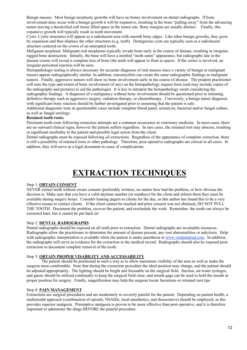Benign masses: Most benign neoplastic growths will have no boney involvement on dental radiographs. If bone involvement does occur with a benign growth it will be expansive, resulting in the bone "pulling away" from the advancing tumor leaving a decalcified soft tissue filled space in the tumor site. Bony margins are usually distinct. Finally, this expansive growth will typically result in tooth movement.

Cysts: Cystic structures will appear as a radiolucent area with smooth bony edges. Like other benign growths, they grow by expansion and thus displace the other structures (e.g. teeth). Dentigerous cysts are typically seen as a radiolucent structure centered on the crown of an unerupted tooth.

Malignant neoplasia: Malignant oral neoplasms typically invade bone early in the course of disease, resulting in irregular, ragged bone destruction. Initially, the bone will have a mottled "moth eaten" appearance, but radiographs late in the disease course will reveal a complete loss of bone (the teeth will appear to float in space). If the cortex is involved, an irregular periosteal reaction will be seen.

Histopathologic testing is always necessary for accurate diagnosis of oral masses since a variety of benign or malignant tumors appear radiographically similar. In addition, osteomyelitis can create the same radiographic findings as malignant tumors. Finally, aggressive tumors will show no bone involvement early in the course of disease. The prudent practitioner will note the type and extent of bony involvement (if any) on the histopathology request form (and may include copies of the radiographs and pictures) to aid the pathologist. It is key to interpret the histopathology result considering the radiographic findings. A diagnosis of a malignancy without bony involvement should be questioned prior to initiating definitive therapy such as aggressive surgery, radiation therapy, or chemotherapy. Conversely, a benign tumor diagnosis with significant bony reaction should be further investigated prior to assuming that the patient is safe.

Additional diagnostic tests in questionable cases include complete blood panel, urinalysis, bacterial and/or fungal culture, as well as fungal serology.

#### **Retained tooth roots:**

Persistent tooth roots following extraction attempts are a common occurrence in veterinary medicine. In most cases, there are no outward clinical signs, however the patient suffers regardless. In rare cases, the retained root may abscess, resulting in significant morbidity to the patient and possible legal action from the client.

Dental radiographs must be exposed following *all* extractions. Regardless of the appearance of complete extraction, there is still a possibility of retained roots or other pathology. Therefore, post-operative radiographs are critical in all cases. In addition, they will serve as a legal document in cases of complications.

### **EXTRACTION TECHNIQUES**

#### Step 1: **OBTAIN CONSENT**

NEVER extract teeth without owner consent (preferably written), no matter how bad the problem, or how obvious the decision is. Make sure that you have a valid daytime number (or numbers) for the client and inform them they must be available during surgery hours. Consider loaning pagers to clients for the day, as this author has found this to be a very effective means to contact clients. If the client cannot be reached and prior consent was not obtained, DO NOT PULL THE TOOTH. Document the problem, recover the patient, and reschedule the work. Remember, the tooth can always be extracted later, but it cannot be put back in!

#### Step 2: **DENTAL RADIOGRAPHS**

Dental radiographs should be exposed on all teeth prior to extraction. Dental radiographs are invaluable resources. Radiographs allow the practitioner to determine the amount of disease present, any root abnormalities or ankylosis. Help with radiographic interpretation is available while the patient is under anesthesia at www.vetdentalrad.com. In addition, the radiographs will serve as evidence for the extraction in the medical record. Radiographs should also be exposed postextraction to document complete removal of the tooth.

#### Step 3: **OBTAIN PROPER VISABILITY AND ACCESSABILITY**

The patient should be positioned in such a way as to allow maximum visibility of the area as well as make the surgeon most comfortable. Note that during the extraction procedure the ideal position may change, and the patient should be adjusted appropriately. The lighting should be bright and focusable on the surgical field. Suction, air/water syringes, and gauze should be utilized continually to keep the surgical field clear, and mouth gags can be used to hold the mouth in proper position for surgery. Finally, magnification may help the surgeon locate furcations or retained root tips.

#### Step 4: **PAIN MANAGEMENT**

Extractions are surgical procedures and are moderately to severely painful for the patient. Depending on patient health, a multimodal approach (combination of opioids, NSAIDs, local anesthetics, and dissociative) should be employed, as this provides superior analgesia. Preemptive analgesia is proven to be more effective than post-operative, and it is therefore important to administer the drugs BEFORE the painful procedure.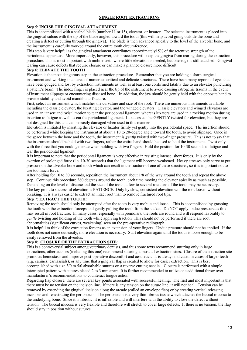#### **SINGLE ROOT EXTRACTIONS**

#### Step 5: **INCISE THE GINGIVAL ATTACHMENT**

This is accomplished with a scalpel blade (number 11 or 15), elevator, or luxator. The selected instrument is placed into the gingival sulcus with the tip of the blade angled toward the tooth (this will help avoid going outside the bone and creating a defect or cutting through the gingiva). The blade is then advanced apically to the level of the alveolar bone, and the instrument is carefully worked around the entire tooth circumference.

This step is very helpful as the gingival attachment contributes approximately15% of the retentive strength of the periodontal apparatus. More importantly, however, this procedure will keep the gingiva from tearing during the extraction procedure. This is most important with mobile teeth where little elevation is needed, but one edge is still attached. Gingival tearing can cause defects that require closure or can make a planned closure more difficult.

#### Step 6: **ELEVATE THE TOOTH**

Elevation is the most dangerous step in the extraction procedure. Remember that you are holding a sharp surgical instrument and working in an area of numerous critical and delicate structures. There have been many reports of eyes that have been gouged and lost by extraction instruments as well as at least one confirmed fatality due to an elevator puncturing a patient's brain. The index finger is placed near the tip of the instrument to avoid causing iatrogenic trauma in the event of instrument slippage or encountering diseased bone. In addition, the jaw should be gently held with the opposite hand to provide stability and avoid mandibular fracture.

First, select an instrument which matches the curvature and size of the root. There are numerous instruments available including the classic elevator, the luxating elevator, and the winged elevators. Classic elevators and winged elevators are used in an "insert and twist" motion to tear the periodontal ligament, whereas luxators are used in a rocking motion during insertion to fatigue as well as cut the periodontal ligament. Luxators can be GENTLY twisted for elevation, but they are not designed for this and can be easily damaged when used in this manner.

Elevation is initiated by inserting the elevator or luxator firmly yet gently into the periodontal space. The insertion should be performed while keeping the instrument at about a 10 to 20-degree angle toward the tooth, to avoid slippage. Once in the space between the bone and the tooth, the instrument is *gently* twisted with two-finger pressure. This is not to say that the instrument should be held with two fingers, rather the entire hand should be used to hold the instrument. Twist only with the force that you could generate when holding with two fingers. Hold the position for 10-30 seconds to fatigue and tear the periodontal ligament.

It is important to note that the periodontal ligament is very effective in resisting intense, short forces. It is only by the exertion of prolonged force (i.e. 10-30 seconds) that the ligament will become weakened. Heavy stresses only serve to put pressure on the alveolar bone and tooth which can result in the fracture of one of these structures, so it is important not to use too much force.

After holding for 10 to 30 seconds, reposition the instrument about 1/8 of the way around the tooth and repeat the above step. Continue this procedure 360 degrees around the tooth, each time moving the elevator apically as much as possible. Depending on the level of disease and the size of the tooth, a few to several rotations of the tooth may be necessary. The key point to successful elevation is PATIENCE. Only by slow, consistent elevation will the root loosen without breaking. It is always easier to extract an intact root than to remove fractured root tips.

#### Step 7: **EXTRACT THE TOOTH**:

Removing the tooth should only be attempted after the tooth is very mobile and loose. This is accomplished by grasping the tooth with the extraction forceps and gently pulling the tooth from the socket. Do NOT apply undue pressure as this may result in root fracture. In many cases, especially with premolars, the roots are round and will respond favorably to *gentle* twisting and holding of the tooth while applying traction. This should not be performed if there are root abnormalities (significant curves, weakening) seen on the pre-operative radiograph.

It is helpful to think of the extraction forceps as an extension of your fingers. Undue pressure should not be applied. If the tooth does not come out easily, more elevation is necessary. Start elevation again until the tooth is loose enough to be easily removed from the alveolus.

#### Step 8: **CLOSURE OF THE EXTRACTION SITE**:

This is a controversial subject among veterinary dentists, and thus some texts recommend suturing only in large extractions, other authors (including this one) recommend suturing almost all extraction sites. Closure of the extraction site promotes hemostasis and improve post-operative discomfort and aesthetics. It is always indicated in cases of larger teeth (e.g. canines, carnassials), or any time that a gingival flap is created to allow for easier extraction. This is best accomplished with size 3/0 to 5/0 absorbable sutures on a reverse cutting needle. Closure is performed with a simple interrupted pattern with sutures placed 2 to 3 mm apart. It is further recommended to utilize one additional throw over manufacturer's recommendations to counteract tongue action.

Regarding flap closure, there are several key points associated with successful healing. The first and most important is that there must be no tension on the incision line. If there is any tension on the suture line, it will not heal. Tension can be removed by extending the gingival incision along the arcade (called an envelope flap) or by creating vertical releasing incisions and fenestrating the periosteum. The periosteum is a very thin fibrous tissue which attaches the buccal mucosa to the underlying bone. Since it is fibrotic, it is inflexible and will interfere with the ability to close the defect without tension. The buccal mucosa is very flexible and therefore will stretch to cover large defects. If there is no tension, the flap should stay in position without sutures.